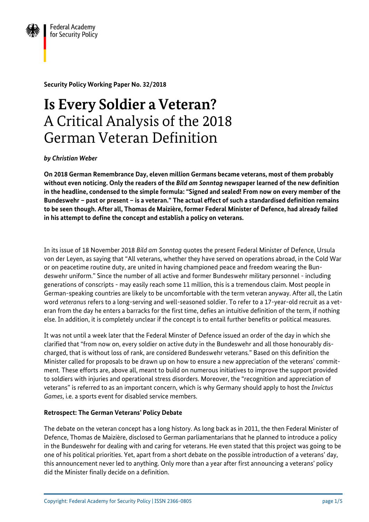

**Security Policy Working Paper No. 32/2018**

# **Is Every Soldier a Veteran?** A Critical Analysis of the 2018 German Veteran Definition

*by Christian Weber*

**On 2018 German Remembrance Day, eleven million Germans became veterans, most of them probably without even noticing. Only the readers of the** *Bild am Sonntag* **newspaper learned of the new definition in the headline, condensed to the simple formula: "Signed and sealed! From now on every member of the Bundeswehr – past or present – is a veteran." The actual effect of such a standardised definition remains to be seen though. After all, Thomas de Maizière, former Federal Minister of Defence, had already failed in his attempt to define the concept and establish a policy on veterans.**

In its issue of 18 November 2018 *Bild am Sonntag* quotes the present Federal Minister of Defence, Ursula von der Leyen, as saying that "All veterans, whether they have served on operations abroad, in the Cold War or on peacetime routine duty, are united in having championed peace and freedom wearing the Bundeswehr uniform." Since the number of all active and former Bundeswehr military personnel - including generations of conscripts - may easily reach some 11 million, this is a tremendous claim. Most people in German-speaking countries are likely to be uncomfortable with the term veteran anyway. After all, the Latin word *veteranus* refers to a long-serving and well-seasoned soldier. To refer to a 17-year-old recruit as a veteran from the day he enters a barracks for the first time, defies an intuitive definition of the term, if nothing else. In addition, it is completely unclear if the concept is to entail further benefits or political measures.

It was not until a week later that the Federal Minster of Defence issued an order of the day in which she clarified that "from now on, every soldier on active duty in the Bundeswehr and all those honourably discharged, that is without loss of rank, are considered Bundeswehr veterans." Based on this definition the Minister called for proposals to be drawn up on how to ensure a new appreciation of the veterans' commitment. These efforts are, above all, meant to build on numerous initiatives to improve the support provided to soldiers with injuries and operational stress disorders. Moreover, the "recognition and appreciation of veterans" is referred to as an important concern, which is why Germany should apply to host the *Invictus Games*, i.e. a sports event for disabled service members.

# **Retrospect: The German Veterans' Policy Debate**

The debate on the veteran concept has a long history. As long back as in 2011, the then Federal Minister of Defence, Thomas de Maizière, disclosed to German parliamentarians that he planned to introduce a policy in the Bundeswehr for dealing with and caring for veterans. He even stated that this project was going to be one of his political priorities. Yet, apart from a short debate on the possible introduction of a veterans' day, this announcement never led to anything. Only more than a year after first announcing a veterans' policy did the Minister finally decide on a definition.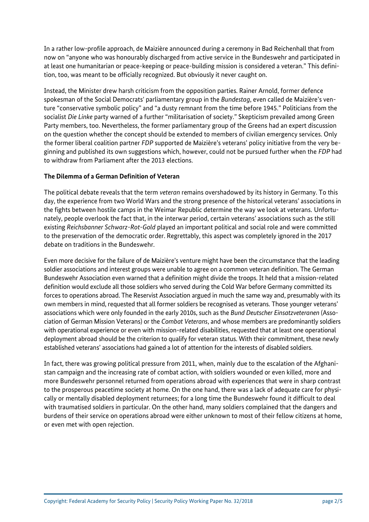In a rather low-profile approach, de Maizière announced during a ceremony in Bad Reichenhall that from now on "anyone who was honourably discharged from active service in the Bundeswehr and participated in at least one humanitarian or peace-keeping or peace-building mission is considered a veteran." This definition, too, was meant to be officially recognized. But obviously it never caught on.

Instead, the Minister drew harsh criticism from the opposition parties. Rainer Arnold, former defence spokesman of the Social Democrats' parliamentary group in the *Bundestag*, even called de Maizière's venture "conservative symbolic policy" and "a dusty remnant from the time before 1945." Politicians from the socialist *Die Linke* party warned of a further "militarisation of society." Skepticism prevailed among Green Party members, too. Nevertheless, the former parliamentary group of the Greens had an expert discussion on the question whether the concept should be extended to members of civilian emergency services. Only the former liberal coalition partner *FDP* supported de Maizière's veterans' policy initiative from the very beginning and published its own suggestions which, however, could not be pursued further when the *FDP* had to withdraw from Parliament after the 2013 elections.

#### **The Dilemma of a German Definition of Veteran**

The political debate reveals that the term *veteran* remains overshadowed by its history in Germany. To this day, the experience from two World Wars and the strong presence of the historical veterans' associations in the fights between hostile camps in the Weimar Republic determine the way we look at veterans. Unfortunately, people overlook the fact that, in the interwar period, certain veterans' associations such as the still existing *Reichsbanner Schwarz-Rot-Gold* played an important political and social role and were committed to the preservation of the democratic order. Regrettably, this aspect was completely ignored in the 2017 debate on traditions in the Bundeswehr.

Even more decisive for the failure of de Maizière's venture might have been the circumstance that the leading soldier associations and interest groups were unable to agree on a common veteran definition. The German Bundeswehr Association even warned that a definition might divide the troops. It held that a mission-related definition would exclude all those soldiers who served during the Cold War before Germany committed its forces to operations abroad. The Reservist Association argued in much the same way and, presumably with its own members in mind, requested that all former soldiers be recognised as veterans. Those younger veterans' associations which were only founded in the early 2010s, such as the *Bund Deutscher Einsatzveteranen* (Association of German Mission Veterans) or the *Combat Veterans*, and whose members are predominantly soldiers with operational experience or even with mission-related disabilities, requested that at least one operational deployment abroad should be the criterion to qualify for veteran status. With their commitment, these newly established veterans' associations had gained a lot of attention for the interests of disabled soldiers.

In fact, there was growing political pressure from 2011, when, mainly due to the escalation of the Afghanistan campaign and the increasing rate of combat action, with soldiers wounded or even killed, more and more Bundeswehr personnel returned from operations abroad with experiences that were in sharp contrast to the prosperous peacetime society at home. On the one hand, there was a lack of adequate care for physically or mentally disabled deployment returnees; for a long time the Bundeswehr found it difficult to deal with traumatised soldiers in particular. On the other hand, many soldiers complained that the dangers and burdens of their service on operations abroad were either unknown to most of their fellow citizens at home, or even met with open rejection.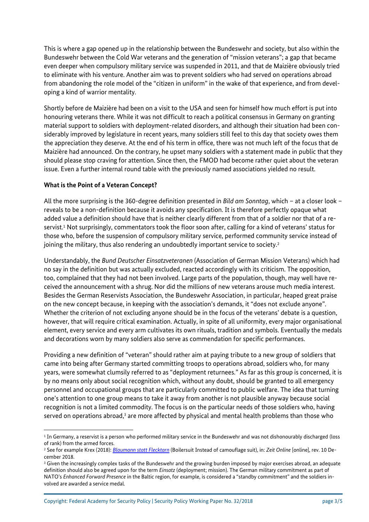This is where a gap opened up in the relationship between the Bundeswehr and society, but also within the Bundeswehr between the Cold War veterans and the generation of "mission veterans"; a gap that became even deeper when compulsory military service was suspended in 2011, and that de Maizière obviously tried to eliminate with his venture. Another aim was to prevent soldiers who had served on operations abroad from abandoning the role model of the "citizen in uniform" in the wake of that experience, and from developing a kind of warrior mentality.

Shortly before de Maizière had been on a visit to the USA and seen for himself how much effort is put into honouring veterans there. While it was not difficult to reach a political consensus in Germany on granting material support to soldiers with deployment-related disorders, and although their situation had been considerably improved by legislature in recent years, many soldiers still feel to this day that society owes them the appreciation they deserve. At the end of his term in office, there was not much left of the focus that de Maizière had announced. On the contrary, he upset many soldiers with a statement made in public that they should please stop craving for attention. Since then, the FMOD had become rather quiet about the veteran issue. Even a further internal round table with the previously named associations yielded no result.

### **What is the Point of a Veteran Concept?**

 $\overline{\phantom{a}}$ 

All the more surprising is the 360-degree definition presented in *Bild am Sonntag*, which – at a closer look – reveals to be a non-definition because it avoids any specification. It is therefore perfectly opaque what added value a definition should have that is neither clearly different from that of a soldier nor that of a reservist.<sup>1</sup> Not surprisingly, commentators took the floor soon after, calling for a kind of veterans' status for those who, before the suspension of compulsory military service, performed community service instead of joining the military, thus also rendering an undoubtedly important service to society.<sup>2</sup>

Understandably, the *Bund Deutscher Einsatzveteranen* (Association of German Mission Veterans) which had no say in the definition but was actually excluded, reacted accordingly with its criticism. The opposition, too, complained that they had not been involved. Large parts of the population, though, may well have received the announcement with a shrug. Nor did the millions of new veterans arouse much media interest. Besides the German Reservists Association, the Bundeswehr Association, in particular, heaped great praise on the new concept because, in keeping with the association's demands, it "does not exclude anyone". Whether the criterion of not excluding anyone should be in the focus of the veterans' debate is a question, however, that will require critical examination. Actually, in spite of all uniformity, every major organisational element, every service and every arm cultivates its own rituals, tradition and symbols. Eventually the medals and decorations worn by many soldiers also serve as commendation for specific performances.

Providing a new definition of "veteran" should rather aim at paying tribute to a new group of soldiers that came into being after Germany started committing troops to operations abroad, soldiers who, for many years, were somewhat clumsily referred to as "deployment returnees." As far as this group is concerned, it is by no means only about social recognition which, without any doubt, should be granted to all emergency personnel and occupational groups that are particularly committed to public welfare. The idea that turning one's attention to one group means to take it away from another is not plausible anyway because social recognition is not a limited commodity. The focus is on the particular needs of those soldiers who, having served on operations abroad,<sup>3</sup> are more affected by physical and mental health problems than those who

 $^{\rm 1}$  In Germany, a reservist is a person who performed military service in the Bundeswehr and was not dishonourably discharged (loss of rank) from the armed forces.

<sup>2</sup> See for example Krex (2018): *[Blaumann statt Flecktarn](https://www.zeit.de/entdecken/2018-11/bundeswehr-veteranen-ursula-von-der-leyen-zivildienst)* (Boilersuit Instead of camouflage suit), in: *Zeit Online* [online], rev. 10 December 2018.

<sup>&</sup>lt;sup>3</sup> Given the increasingly complex tasks of the Bundeswehr and the growing burden imposed by major exercises abroad, an adequate definition should also be agreed upon for the term *Einsatz* (deployment; mission). The German military commitment as part of NATO's *Enhanced Forward Presence* in the Baltic region, for example, is considered a "standby commitment" and the soldiers involved are awarded a service medal.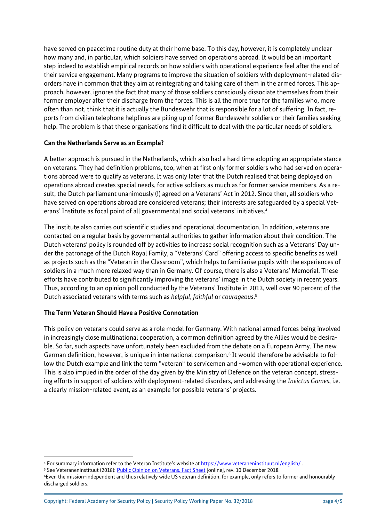have served on peacetime routine duty at their home base. To this day, however, it is completely unclear how many and, in particular, which soldiers have served on operations abroad. It would be an important step indeed to establish empirical records on how soldiers with operational experience feel after the end of their service engagement. Many programs to improve the situation of soldiers with deployment-related disorders have in common that they aim at reintegrating and taking care of them in the armed forces. This approach, however, ignores the fact that many of those soldiers consciously dissociate themselves from their former employer after their discharge from the forces. This is all the more true for the families who, more often than not, think that it is actually the Bundeswehr that is responsible for a lot of suffering. In fact, reports from civilian telephone helplines are piling up of former Bundeswehr soldiers or their families seeking help. The problem is that these organisations find it difficult to deal with the particular needs of soldiers.

### **Can the Netherlands Serve as an Example?**

A better approach is pursued in the Netherlands, which also had a hard time adopting an appropriate stance on veterans. They had definition problems, too, when at first only former soldiers who had served on operations abroad were to qualify as veterans. It was only later that the Dutch realised that being deployed on operations abroad creates special needs, for active soldiers as much as for former service members. As a result, the Dutch parliament unanimously (!) agreed on a Veterans' Act in 2012. Since then, all soldiers who have served on operations abroad are considered veterans; their interests are safeguarded by a special Veterans' Institute as focal point of all governmental and social veterans' initiatives.<sup>4</sup>

The institute also carries out scientific studies and operational documentation. In addition, veterans are contacted on a regular basis by governmental authorities to gather information about their condition. The Dutch veterans' policy is rounded off by activities to increase social recognition such as a Veterans' Day under the patronage of the Dutch Royal Family, a "Veterans' Card" offering access to specific benefits as well as projects such as the "Veteran in the Classroom", which helps to familiarise pupils with the experiences of soldiers in a much more relaxed way than in Germany. Of course, there is also a Veterans' Memorial. These efforts have contributed to significantly improving the veterans' image in the Dutch society in recent years. Thus, according to an opinion poll conducted by the Veterans' Institute in 2013, well over 90 percent of the Dutch associated veterans with terms such as *helpful*, *faithful* or *courageous*. 5

# **The Term Veteran Should Have a Positive Connotation**

 $\overline{a}$ 

This policy on veterans could serve as a role model for Germany. With national armed forces being involved in increasingly close multinational cooperation, a common definition agreed by the Allies would be desirable. So far, such aspects have unfortunately been excluded from the debate on a European Army. The new German definition, however, is unique in international comparison.<sup>6</sup> It would therefore be advisable to follow the Dutch example and link the term "veteran" to servicemen and -women with operational experience. This is also implied in the order of the day given by the Ministry of Defence on the veteran concept, stressing efforts in support of soldiers with deployment-related disorders, and addressing the *Invictus Games*, i.e. a clearly mission-related event, as an example for possible veterans' projects.

<sup>4</sup> For summary information refer to the Veteran Institute's website a[t https://www.veteraneninstituut.nl/english/](https://www.veteraneninstituut.nl/english/) .

<sup>&</sup>lt;sup>5</sup> See Veteraneninstituut (2018)[: Public Opinion on Veterans. Fact Sheet](https://www.veteraneninstituut.nl/wp-content/uploads/2017/08/FS9-Public-Opinion-on-Veterans.pdf) [online], rev. 10 December 2018.

<sup>6</sup>Even the mission-independent and thus relatively wide US veteran definition, for example, only refers to former and honourably discharged soldiers.